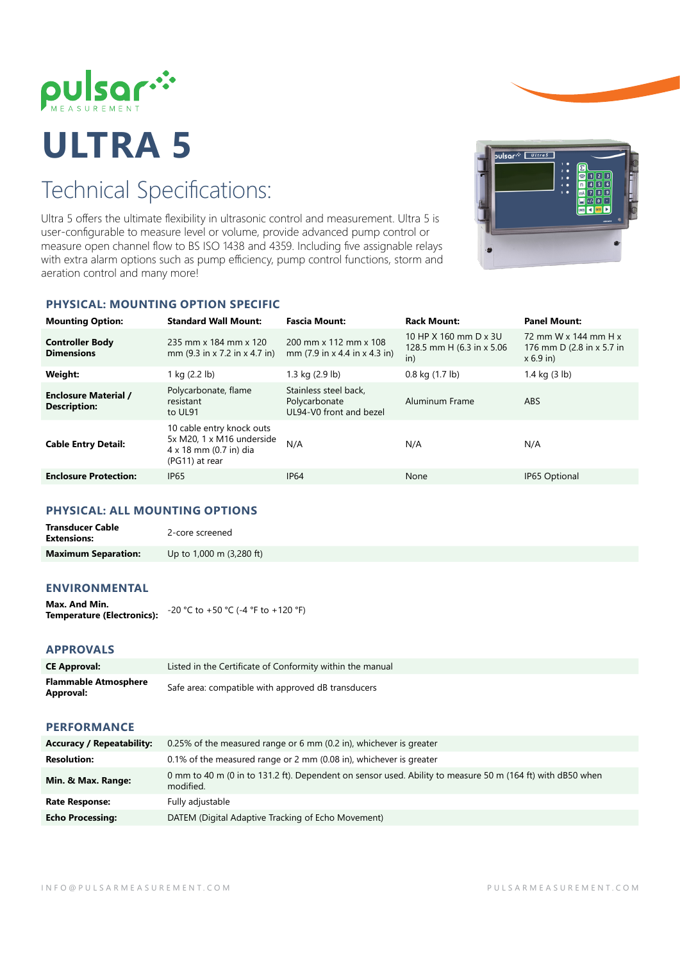

# **ULTRA 5**

# Technical Specifications:

Ultra 5 offers the ultimate flexibility in ultrasonic control and measurement. Ultra 5 is user-configurable to measure level or volume, provide advanced pump control or measure open channel flow to BS ISO 1438 and 4359. Including five assignable relays with extra alarm options such as pump efficiency, pump control functions, storm and aeration control and many more!



# **PHYSICAL: MOUNTING OPTION SPECIFIC**

| <b>Mounting Option:</b>                            | <b>Standard Wall Mount:</b>                                                                        | <b>Fascia Mount:</b>                                                               | <b>Rack Mount:</b>                                         | <b>Panel Mount:</b>                                              |
|----------------------------------------------------|----------------------------------------------------------------------------------------------------|------------------------------------------------------------------------------------|------------------------------------------------------------|------------------------------------------------------------------|
| <b>Controller Body</b><br><b>Dimensions</b>        | 235 mm x 184 mm x 120<br>mm (9.3 in x 7.2 in x 4.7 in)                                             | 200 mm x 112 mm x 108<br>mm $(7.9 \text{ in } x 4.4 \text{ in } x 4.3 \text{ in})$ | 10 HP X 160 mm D x 3U<br>128.5 mm H (6.3 in x 5.06)<br>in) | 72 mm W x 144 mm H x<br>176 mm D (2.8 in x 5.7 in<br>$x 6.9$ in) |
| Weight:                                            | 1 kg (2.2 lb)                                                                                      | 1.3 kg (2.9 lb)                                                                    | $0.8$ kg $(1.7$ lb)                                        | 1.4 kg $(3 \text{ lb})$                                          |
| <b>Enclosure Material /</b><br><b>Description:</b> | Polycarbonate, flame<br>resistant<br>to UL91                                                       | Stainless steel back,<br>Polycarbonate<br>UL94-V0 front and bezel                  | Aluminum Frame                                             | <b>ABS</b>                                                       |
| <b>Cable Entry Detail:</b>                         | 10 cable entry knock outs<br>5x M20, 1 x M16 underside<br>4 x 18 mm (0.7 in) dia<br>(PG11) at rear | N/A                                                                                | N/A                                                        | N/A                                                              |
| <b>Enclosure Protection:</b>                       | <b>IP65</b>                                                                                        | <b>IP64</b>                                                                        | None                                                       | IP65 Optional                                                    |

### **PHYSICAL: ALL MOUNTING OPTIONS**

| <b>Transducer Cable</b><br><b>Extensions:</b> | 2-core screened          |
|-----------------------------------------------|--------------------------|
| <b>Maximum Separation:</b>                    | Up to 1,000 m (3,280 ft) |

# **ENVIRONMENTAL**

| Max. And Min.                     | -20 °C to +50 °C (-4 °F to +120 °F) |
|-----------------------------------|-------------------------------------|
| <b>Temperature (Electronics):</b> |                                     |

# **APPROVALS**

| <b>CE Approval:</b>                      | Listed in the Certificate of Conformity within the manual |
|------------------------------------------|-----------------------------------------------------------|
| <b>Flammable Atmosphere</b><br>Approval: | Safe area: compatible with approved dB transducers        |
| <b>PERFORMANCE</b>                       |                                                           |

| <b>Accuracy / Repeatability:</b> | 0.25% of the measured range or 6 mm (0.2 in), whichever is greater                                                      |
|----------------------------------|-------------------------------------------------------------------------------------------------------------------------|
| <b>Resolution:</b>               | 0.1% of the measured range or 2 mm (0.08 in), whichever is greater                                                      |
| Min. & Max. Range:               | 0 mm to 40 m (0 in to 131.2 ft). Dependent on sensor used. Ability to measure 50 m (164 ft) with dB50 when<br>modified. |
| <b>Rate Response:</b>            | Fully adjustable                                                                                                        |
| <b>Echo Processing:</b>          | DATEM (Digital Adaptive Tracking of Echo Movement)                                                                      |
|                                  |                                                                                                                         |